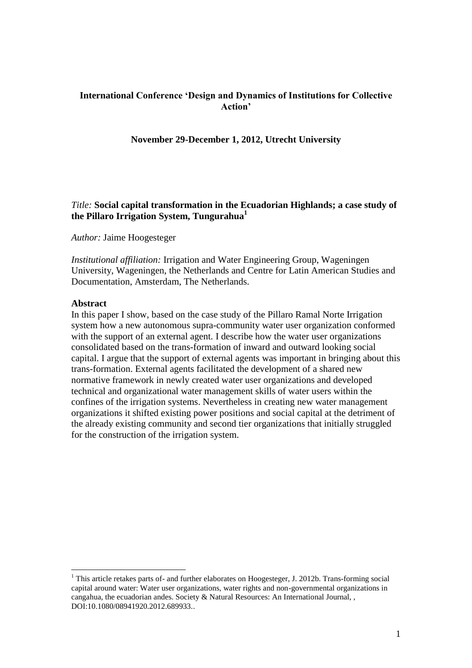# **International Conference 'Design and Dynamics of Institutions for Collective Action'**

### **November 29-December 1, 2012, Utrecht University**

### *Title:* **Social capital transformation in the Ecuadorian Highlands; a case study of the Pillaro Irrigation System, Tungurahua<sup>1</sup>**

*Author:* Jaime Hoogesteger

*Institutional affiliation:* Irrigation and Water Engineering Group, Wageningen University, Wageningen, the Netherlands and Centre for Latin American Studies and Documentation, Amsterdam, The Netherlands.

#### **Abstract**

 $\overline{a}$ 

In this paper I show, based on the case study of the Pillaro Ramal Norte Irrigation system how a new autonomous supra-community water user organization conformed with the support of an external agent. I describe how the water user organizations consolidated based on the trans-formation of inward and outward looking social capital. I argue that the support of external agents was important in bringing about this trans-formation. External agents facilitated the development of a shared new normative framework in newly created water user organizations and developed technical and organizational water management skills of water users within the confines of the irrigation systems. Nevertheless in creating new water management organizations it shifted existing power positions and social capital at the detriment of the already existing community and second tier organizations that initially struggled for the construction of the irrigation system.

<sup>&</sup>lt;sup>1</sup> This article retakes parts of- and further elaborates on Hoogesteger, J. 2012b. Trans-forming social capital around water: Water user organizations, water rights and non-governmental organizations in cangahua, the ecuadorian andes. Society & Natural Resources: An International Journal, , DOI:10.1080/08941920.2012.689933..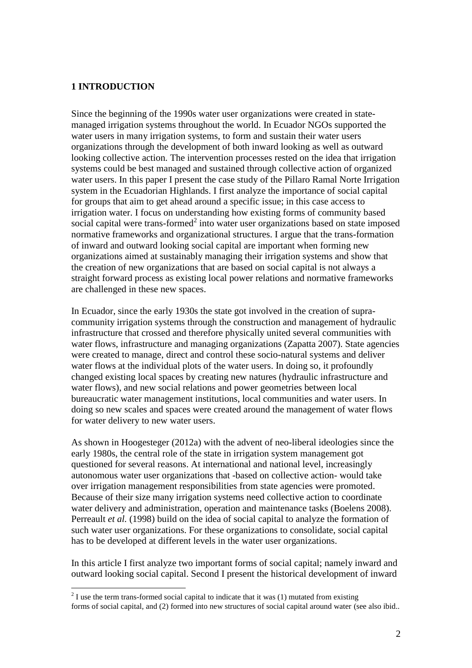### **1 INTRODUCTION**

 $\overline{a}$ 

Since the beginning of the 1990s water user organizations were created in statemanaged irrigation systems throughout the world. In Ecuador NGOs supported the water users in many irrigation systems, to form and sustain their water users organizations through the development of both inward looking as well as outward looking collective action. The intervention processes rested on the idea that irrigation systems could be best managed and sustained through collective action of organized water users. In this paper I present the case study of the Pillaro Ramal Norte Irrigation system in the Ecuadorian Highlands. I first analyze the importance of social capital for groups that aim to get ahead around a specific issue; in this case access to irrigation water. I focus on understanding how existing forms of community based social capital were trans-formed $2$  into water user organizations based on state imposed normative frameworks and organizational structures. I argue that the trans-formation of inward and outward looking social capital are important when forming new organizations aimed at sustainably managing their irrigation systems and show that the creation of new organizations that are based on social capital is not always a straight forward process as existing local power relations and normative frameworks are challenged in these new spaces.

In Ecuador, since the early 1930s the state got involved in the creation of supracommunity irrigation systems through the construction and management of hydraulic infrastructure that crossed and therefore physically united several communities with water flows, infrastructure and managing organizations [\(Zapatta 2007\)](#page-16-0). State agencies were created to manage, direct and control these socio-natural systems and deliver water flows at the individual plots of the water users. In doing so, it profoundly changed existing local spaces by creating new natures (hydraulic infrastructure and water flows), and new social relations and power geometries between local bureaucratic water management institutions, local communities and water users. In doing so new scales and spaces were created around the management of water flows for water delivery to new water users.

As shown in [Hoogesteger \(2012a\)](#page-15-0) with the advent of neo-liberal ideologies since the early 1980s, the central role of the state in irrigation system management got questioned for several reasons. At international and national level, increasingly autonomous water user organizations that -based on collective action- would take over irrigation management responsibilities from state agencies were promoted. Because of their size many irrigation systems need collective action to coordinate water delivery and administration, operation and maintenance tasks [\(Boelens 2008\)](#page-15-1). [Perreault](#page-16-1) *et al.* (1998) build on the idea of social capital to analyze the formation of such water user organizations. For these organizations to consolidate, social capital has to be developed at different levels in the water user organizations.

In this article I first analyze two important forms of social capital; namely inward and outward looking social capital. Second I present the historical development of inward

 $2<sup>2</sup>$  I use the term trans-formed social capital to indicate that it was (1) mutated from existing forms of social capital, and (2) formed into new structures of social capital around water (see also ibid..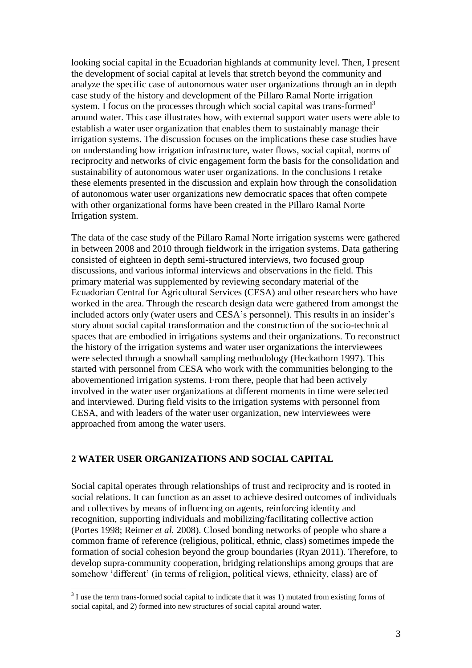looking social capital in the Ecuadorian highlands at community level. Then, I present the development of social capital at levels that stretch beyond the community and analyze the specific case of autonomous water user organizations through an in depth case study of the history and development of the Píllaro Ramal Norte irrigation system. I focus on the processes through which social capital was trans-formed<sup>3</sup> around water. This case illustrates how, with external support water users were able to establish a water user organization that enables them to sustainably manage their irrigation systems. The discussion focuses on the implications these case studies have on understanding how irrigation infrastructure, water flows, social capital, norms of reciprocity and networks of civic engagement form the basis for the consolidation and sustainability of autonomous water user organizations. In the conclusions I retake these elements presented in the discussion and explain how through the consolidation of autonomous water user organizations new democratic spaces that often compete with other organizational forms have been created in the Pillaro Ramal Norte Irrigation system.

The data of the case study of the Píllaro Ramal Norte irrigation systems were gathered in between 2008 and 2010 through fieldwork in the irrigation systems. Data gathering consisted of eighteen in depth semi-structured interviews, two focused group discussions, and various informal interviews and observations in the field. This primary material was supplemented by reviewing secondary material of the Ecuadorian Central for Agricultural Services (CESA) and other researchers who have worked in the area. Through the research design data were gathered from amongst the included actors only (water users and CESA's personnel). This results in an insider's story about social capital transformation and the construction of the socio-technical spaces that are embodied in irrigations systems and their organizations. To reconstruct the history of the irrigation systems and water user organizations the interviewees were selected through a snowball sampling methodology [\(Heckathorn 1997\)](#page-15-2). This started with personnel from CESA who work with the communities belonging to the abovementioned irrigation systems. From there, people that had been actively involved in the water user organizations at different moments in time were selected and interviewed. During field visits to the irrigation systems with personnel from CESA, and with leaders of the water user organization, new interviewees were approached from among the water users.

### **2 WATER USER ORGANIZATIONS AND SOCIAL CAPITAL**

 $\overline{a}$ 

Social capital operates through relationships of trust and reciprocity and is rooted in social relations. It can function as an asset to achieve desired outcomes of individuals and collectives by means of influencing on agents, reinforcing identity and recognition, supporting individuals and mobilizing/facilitating collective action [\(Portes 1998;](#page-16-2) [Reimer](#page-16-3) *et al.* 2008). Closed bonding networks of people who share a common frame of reference (religious, political, ethnic, class) sometimes impede the formation of social cohesion beyond the group boundaries [\(Ryan 2011\)](#page-16-4). Therefore, to develop supra-community cooperation, bridging relationships among groups that are somehow 'different' (in terms of religion, political views, ethnicity, class) are of

 $3$  I use the term trans-formed social capital to indicate that it was 1) mutated from existing forms of social capital, and 2) formed into new structures of social capital around water.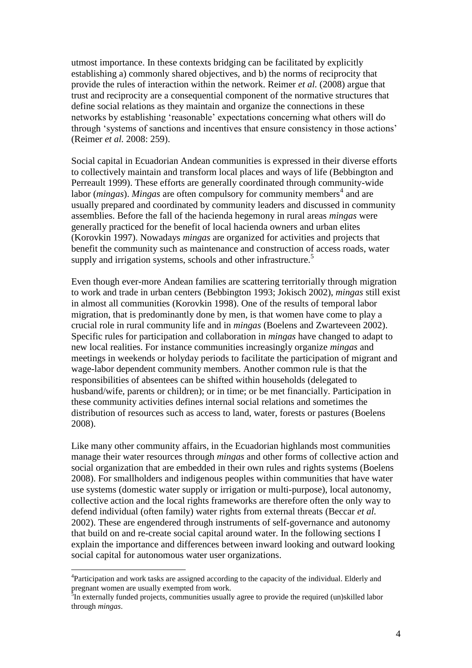utmost importance. In these contexts bridging can be facilitated by explicitly establishing a) commonly shared objectives, and b) the norms of reciprocity that provide the rules of interaction within the network. [Reimer](#page-16-3) *et al.* (2008) argue that trust and reciprocity are a consequential component of the normative structures that define social relations as they maintain and organize the connections in these networks by establishing 'reasonable' expectations concerning what others will do through 'systems of sanctions and incentives that ensure consistency in those actions' [\(Reimer](#page-16-3) *et al.* 2008: 259).

Social capital in Ecuadorian Andean communities is expressed in their diverse efforts to collectively maintain and transform local places and ways of life [\(Bebbington and](#page-15-3)  [Perreault 1999\)](#page-15-3). These efforts are generally coordinated through community-wide labor (*mingas*). *Mingas* are often compulsory for community members<sup>4</sup> and are usually prepared and coordinated by community leaders and discussed in community assemblies. Before the fall of the hacienda hegemony in rural areas *mingas* were generally practiced for the benefit of local hacienda owners and urban elites [\(Korovkin 1997\)](#page-16-5). Nowadays *mingas* are organized for activities and projects that benefit the community such as maintenance and construction of access roads, water supply and irrigation systems, schools and other infrastructure.<sup>5</sup>

Even though ever-more Andean families are scattering territorially through migration to work and trade in urban centers [\(Bebbington 1993;](#page-15-4) [Jokisch 2002\)](#page-16-6), *mingas* still exist in almost all communities [\(Korovkin 1998\)](#page-16-7). One of the results of temporal labor migration, that is predominantly done by men, is that women have come to play a crucial role in rural community life and in *mingas* [\(Boelens and Zwarteveen 2002\)](#page-15-5). Specific rules for participation and collaboration in *mingas* have changed to adapt to new local realities. For instance communities increasingly organize *mingas* and meetings in weekends or holyday periods to facilitate the participation of migrant and wage-labor dependent community members. Another common rule is that the responsibilities of absentees can be shifted within households (delegated to husband/wife, parents or children); or in time; or be met financially. Participation in these community activities defines internal social relations and sometimes the distribution of resources such as access to land, water, forests or pastures [\(Boelens](#page-15-1)  [2008\)](#page-15-1).

Like many other community affairs, in the Ecuadorian highlands most communities manage their water resources through *mingas* and other forms of collective action and social organization that are embedded in their own rules and rights systems [\(Boelens](#page-15-1)  [2008\)](#page-15-1). For smallholders and indigenous peoples within communities that have water use systems (domestic water supply or irrigation or multi-purpose), local autonomy, collective action and the local rights frameworks are therefore often the only way to defend individual (often family) water rights from external threats [\(Beccar](#page-15-6) *et al.* [2002\)](#page-15-6). These are engendered through instruments of self-governance and autonomy that build on and re-create social capital around water. In the following sections I explain the importance and differences between inward looking and outward looking social capital for autonomous water user organizations.

<sup>&</sup>lt;sup>4</sup>Participation and work tasks are assigned according to the capacity of the individual. Elderly and pregnant women are usually exempted from work.<br><sup>5</sup>In externally funded projects, communities usually agree to provide the required (un)skilled labor

through *mingas*.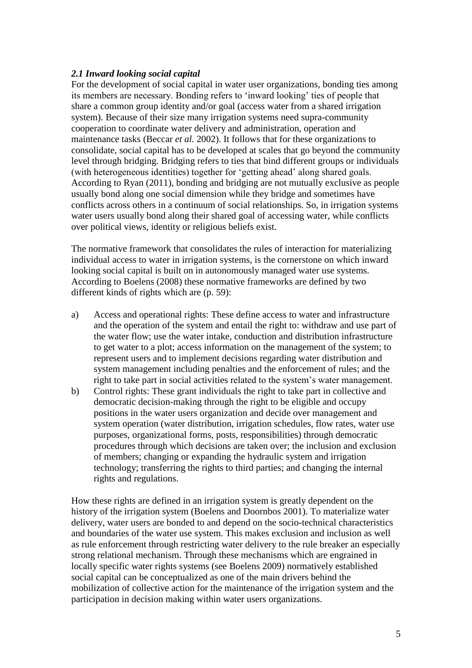## *2.1 Inward looking social capital*

For the development of social capital in water user organizations, bonding ties among its members are necessary. Bonding refers to 'inward looking' ties of people that share a common group identity and/or goal (access water from a shared irrigation system). Because of their size many irrigation systems need supra-community cooperation to coordinate water delivery and administration, operation and maintenance tasks [\(Beccar](#page-15-6) *et al.* 2002). It follows that for these organizations to consolidate, social capital has to be developed at scales that go beyond the community level through bridging. Bridging refers to ties that bind different groups or individuals (with heterogeneous identities) together for 'getting ahead' along shared goals. According to [Ryan \(2011\)](#page-16-4), bonding and bridging are not mutually exclusive as people usually bond along one social dimension while they bridge and sometimes have conflicts across others in a continuum of social relationships. So, in irrigation systems water users usually bond along their shared goal of accessing water, while conflicts over political views, identity or religious beliefs exist.

The normative framework that consolidates the rules of interaction for materializing individual access to water in irrigation systems, is the cornerstone on which inward looking social capital is built on in autonomously managed water use systems. According to [Boelens \(2008\)](#page-15-1) these normative frameworks are defined by two different kinds of rights which are (p. 59):

- a) Access and operational rights: These define access to water and infrastructure and the operation of the system and entail the right to: withdraw and use part of the water flow; use the water intake, conduction and distribution infrastructure to get water to a plot; access information on the management of the system; to represent users and to implement decisions regarding water distribution and system management including penalties and the enforcement of rules; and the right to take part in social activities related to the system's water management.
- b) Control rights: These grant individuals the right to take part in collective and democratic decision-making through the right to be eligible and occupy positions in the water users organization and decide over management and system operation (water distribution, irrigation schedules, flow rates, water use purposes, organizational forms, posts, responsibilities) through democratic procedures through which decisions are taken over; the inclusion and exclusion of members; changing or expanding the hydraulic system and irrigation technology; transferring the rights to third parties; and changing the internal rights and regulations.

How these rights are defined in an irrigation system is greatly dependent on the history of the irrigation system [\(Boelens and Doornbos 2001\)](#page-15-7). To materialize water delivery, water users are bonded to and depend on the socio-technical characteristics and boundaries of the water use system. This makes exclusion and inclusion as well as rule enforcement through restricting water delivery to the rule breaker an especially strong relational mechanism. Through these mechanisms which are engrained in locally specific water rights systems (see [Boelens 2009\)](#page-15-8) normatively established social capital can be conceptualized as one of the main drivers behind the mobilization of collective action for the maintenance of the irrigation system and the participation in decision making within water users organizations.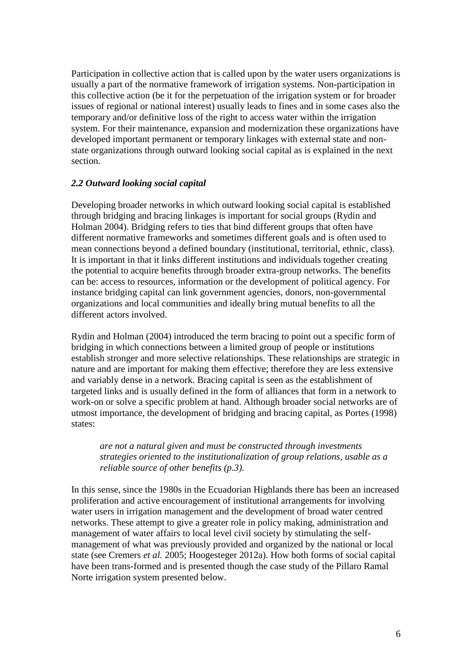Participation in collective action that is called upon by the water users organizations is usually a part of the normative framework of irrigation systems. Non-participation in this collective action (be it for the perpetuation of the irrigation system or for broader issues of regional or national interest) usually leads to fines and in some cases also the temporary and/or definitive loss of the right to access water within the irrigation system. For their maintenance, expansion and modernization these organizations have developed important permanent or temporary linkages with external state and nonstate organizations through outward looking social capital as is explained in the next section.

## *2.2 Outward looking social capital*

Developing broader networks in which outward looking social capital is established through bridging and bracing linkages is important for social groups [\(Rydin and](#page-16-8)  [Holman 2004\)](#page-16-8). Bridging refers to ties that bind different groups that often have different normative frameworks and sometimes different goals and is often used to mean connections beyond a defined boundary (institutional, territorial, ethnic, class). It is important in that it links different institutions and individuals together creating the potential to acquire benefits through broader extra-group networks. The benefits can be: access to resources, information or the development of political agency. For instance bridging capital can link government agencies, donors, non-governmental organizations and local communities and ideally bring mutual benefits to all the different actors involved.

[Rydin and Holman \(2004\)](#page-16-8) introduced the term bracing to point out a specific form of bridging in which connections between a limited group of people or institutions establish stronger and more selective relationships. These relationships are strategic in nature and are important for making them effective; therefore they are less extensive and variably dense in a network. Bracing capital is seen as the establishment of targeted links and is usually defined in the form of alliances that form in a network to work-on or solve a specific problem at hand. Although broader social networks are of utmost importance, the development of bridging and bracing capital, as [Portes \(1998\)](#page-16-2) states:

*are not a natural given and must be constructed through investments strategies oriented to the institutionalization of group relations, usable as a reliable source of other benefits (p.3).*

In this sense, since the 1980s in the Ecuadorian Highlands there has been an increased proliferation and active encouragement of institutional arrangements for involving water users in irrigation management and the development of broad water centred networks. These attempt to give a greater role in policy making, administration and management of water affairs to local level civil society by stimulating the selfmanagement of what was previously provided and organized by the national or local state (see [Cremers](#page-15-9) *et al.* 2005; [Hoogesteger 2012a\)](#page-15-0). How both forms of social capital have been trans-formed and is presented though the case study of the Pillaro Ramal Norte irrigation system presented below.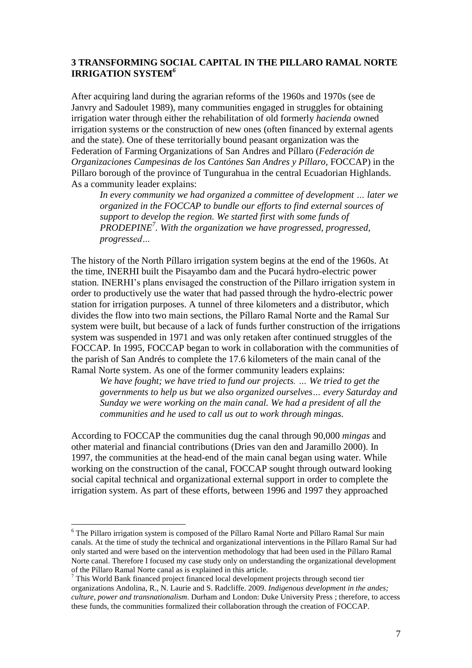### **3 TRANSFORMING SOCIAL CAPITAL IN THE PILLARO RAMAL NORTE IRRIGATION SYSTEM***<sup>6</sup>*

After acquiring land during the agrarian reforms of the 1960s and 1970s (see [de](#page-15-10)  [Janvry and Sadoulet 1989\)](#page-15-10), many communities engaged in struggles for obtaining irrigation water through either the rehabilitation of old formerly *hacienda* owned irrigation systems or the construction of new ones (often financed by external agents and the state). One of these territorially bound peasant organization was the Federation of Farming Organizations of San Andres and Píllaro (*Federación de Organizaciones Campesinas de los Cantónes San Andres y Píllaro,* FOCCAP) in the Pillaro borough of the province of Tungurahua in the central Ecuadorian Highlands. As a community leader explains:

*In every community we had organized a committee of development … later we organized in the FOCCAP to bundle our efforts to find external sources of support to develop the region. We started first with some funds of PRODEPINE<sup>7</sup> . With the organization we have progressed, progressed, progressed…*

The history of the North Píllaro irrigation system begins at the end of the 1960s. At the time, INERHI built the Pisayambo dam and the Pucará hydro-electric power station. INERHI's plans envisaged the construction of the Píllaro irrigation system in order to productively use the water that had passed through the hydro-electric power station for irrigation purposes. A tunnel of three kilometers and a distributor, which divides the flow into two main sections, the Píllaro Ramal Norte and the Ramal Sur system were built, but because of a lack of funds further construction of the irrigations system was suspended in 1971 and was only retaken after continued struggles of the FOCCAP. In 1995, FOCCAP began to work in collaboration with the communities of the parish of San Andrés to complete the 17.6 kilometers of the main canal of the Ramal Norte system. As one of the former community leaders explains:

*We have fought; we have tried to fund our projects. … We tried to get the governments to help us but we also organized ourselves… every Saturday and Sunday we were working on the main canal. We had a president of all the communities and he used to call us out to work through mingas.*

According to FOCCAP the communities dug the canal through 90,000 *mingas* and other material and financial contributions [\(Dries van den and Jaramillo 2000\)](#page-15-11). In 1997, the communities at the head-end of the main canal began using water. While working on the construction of the canal, FOCCAP sought through outward looking social capital technical and organizational external support in order to complete the irrigation system. As part of these efforts, between 1996 and 1997 they approached

<sup>&</sup>lt;sup>6</sup> The Pillaro irrigation system is composed of the Píllaro Ramal Norte and Píllaro Ramal Sur main canals. At the time of study the technical and organizational interventions in the Píllaro Ramal Sur had only started and were based on the intervention methodology that had been used in the Píllaro Ramal Norte canal. Therefore I focused my case study only on understanding the organizational development of the Píllaro Ramal Norte canal as is explained in this article.

<sup>7</sup> This World Bank financed project financed local development projects through second tier organizations Andolina, R., N. Laurie and S. Radcliffe. 2009. *Indigenous development in the andes; culture, power and transnationalism*. Durham and London: Duke University Press ; therefore, to access these funds, the communities formalized their collaboration through the creation of FOCCAP.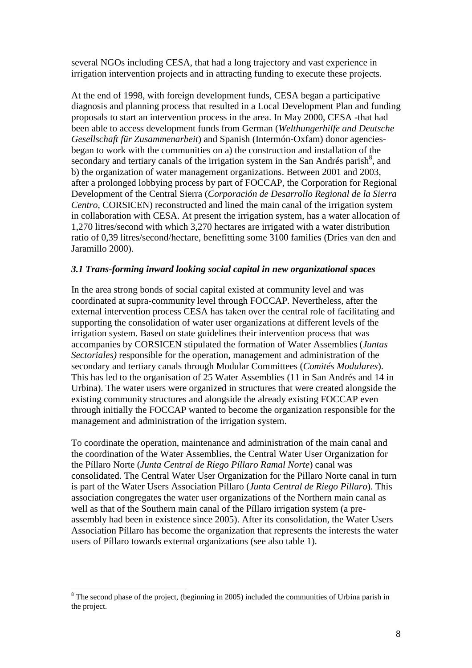several NGOs including CESA, that had a long trajectory and vast experience in irrigation intervention projects and in attracting funding to execute these projects.

At the end of 1998, with foreign development funds, CESA began a participative diagnosis and planning process that resulted in a Local Development Plan and funding proposals to start an intervention process in the area. In May 2000, CESA -that had been able to access development funds from German (*Welthungerhilfe and Deutsche Gesellschaft für Zusammenarbeit*) and Spanish (Intermón-Oxfam) donor agenciesbegan to work with the communities on a) the construction and installation of the secondary and tertiary canals of the irrigation system in the San Andrés parish<sup>8</sup>, and b) the organization of water management organizations. Between 2001 and 2003, after a prolonged lobbying process by part of FOCCAP, the Corporation for Regional Development of the Central Sierra (*Corporación de Desarrollo Regional de la Sierra Centro*, CORSICEN) reconstructed and lined the main canal of the irrigation system in collaboration with CESA. At present the irrigation system, has a water allocation of 1,270 litres/second with which 3,270 hectares are irrigated with a water distribution ratio of 0,39 litres/second/hectare, benefitting some 3100 families [\(Dries van den and](#page-15-11)  [Jaramillo 2000\)](#page-15-11).

## *3.1 Trans-forming inward looking social capital in new organizational spaces*

In the area strong bonds of social capital existed at community level and was coordinated at supra-community level through FOCCAP. Nevertheless, after the external intervention process CESA has taken over the central role of facilitating and supporting the consolidation of water user organizations at different levels of the irrigation system. Based on state guidelines their intervention process that was accompanies by CORSICEN stipulated the formation of Water Assemblies (*Juntas Sectoriales)* responsible for the operation, management and administration of the secondary and tertiary canals through Modular Committees (*Comités Modulares*). This has led to the organisation of 25 Water Assemblies (11 in San Andrés and 14 in Urbina). The water users were organized in structures that were created alongside the existing community structures and alongside the already existing FOCCAP even through initially the FOCCAP wanted to become the organization responsible for the management and administration of the irrigation system.

To coordinate the operation, maintenance and administration of the main canal and the coordination of the Water Assemblies, the Central Water User Organization for the Píllaro Norte (*Junta Central de Riego Píllaro Ramal Norte*) canal was consolidated. The Central Water User Organization for the Pillaro Norte canal in turn is part of the Water Users Association Píllaro (*Junta Central de Riego Pillaro*). This association congregates the water user organizations of the Northern main canal as well as that of the Southern main canal of the Píllaro irrigation system (a preassembly had been in existence since 2005). After its consolidation, the Water Users Association Píllaro has become the organization that represents the interests the water users of Píllaro towards external organizations (see also table 1).

<sup>&</sup>lt;sup>8</sup> The second phase of the project, (beginning in 2005) included the communities of Urbina parish in the project.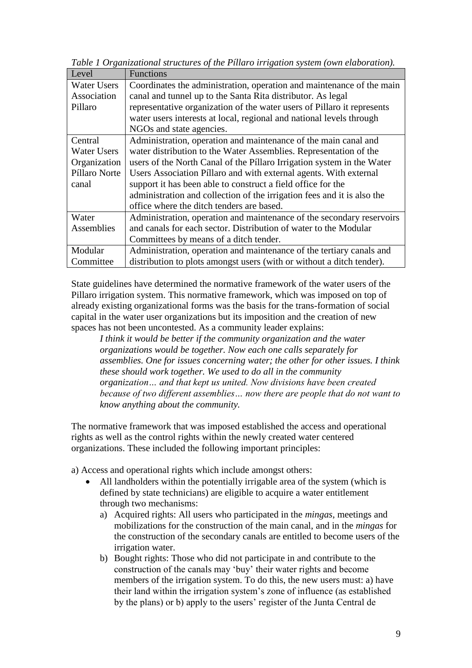*Table 1 Organizational structures of the Píllaro irrigation system (own elaboration).*

| Level              | <b>Functions</b>                                                        |
|--------------------|-------------------------------------------------------------------------|
| <b>Water Users</b> | Coordinates the administration, operation and maintenance of the main   |
| Association        | canal and tunnel up to the Santa Rita distributor. As legal             |
| Pillaro            | representative organization of the water users of Pillaro it represents |
|                    | water users interests at local, regional and national levels through    |
|                    | NGOs and state agencies.                                                |
| Central            | Administration, operation and maintenance of the main canal and         |
| <b>Water Users</b> | water distribution to the Water Assemblies. Representation of the       |
| Organization       | users of the North Canal of the Pillaro Irrigation system in the Water  |
| Píllaro Norte      | Users Association Píllaro and with external agents. With external       |
| canal              | support it has been able to construct a field office for the            |
|                    | administration and collection of the irrigation fees and it is also the |
|                    | office where the ditch tenders are based.                               |
| Water              | Administration, operation and maintenance of the secondary reservoirs   |
| Assemblies         | and canals for each sector. Distribution of water to the Modular        |
|                    | Committees by means of a ditch tender.                                  |
| Modular            | Administration, operation and maintenance of the tertiary canals and    |
| Committee          | distribution to plots amongst users (with or without a ditch tender).   |

State guidelines have determined the normative framework of the water users of the Pillaro irrigation system. This normative framework, which was imposed on top of already existing organizational forms was the basis for the trans-formation of social capital in the water user organizations but its imposition and the creation of new spaces has not been uncontested. As a community leader explains:

*I think it would be better if the community organization and the water organizations would be together. Now each one calls separately for assemblies. One for issues concerning water; the other for other issues. I think these should work together. We used to do all in the community organization… and that kept us united. Now divisions have been created because of two different assemblies… now there are people that do not want to know anything about the community.* 

The normative framework that was imposed established the access and operational rights as well as the control rights within the newly created water centered organizations. These included the following important principles:

a) Access and operational rights which include amongst others:

- All landholders within the potentially irrigable area of the system (which is defined by state technicians) are eligible to acquire a water entitlement through two mechanisms:
	- a) Acquired rights: All users who participated in the *mingas*, meetings and mobilizations for the construction of the main canal, and in the *mingas* for the construction of the secondary canals are entitled to become users of the irrigation water.
	- b) Bought rights: Those who did not participate in and contribute to the construction of the canals may 'buy' their water rights and become members of the irrigation system. To do this, the new users must: a) have their land within the irrigation system's zone of influence (as established by the plans) or b) apply to the users' register of the Junta Central de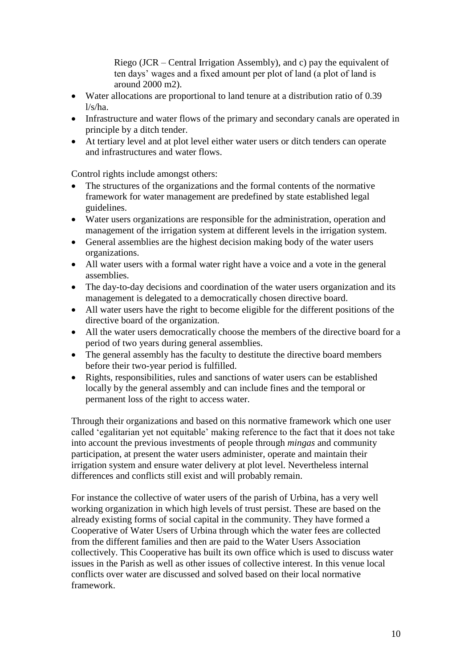Riego (JCR – Central Irrigation Assembly), and c) pay the equivalent of ten days' wages and a fixed amount per plot of land (a plot of land is around 2000 m2).

- Water allocations are proportional to land tenure at a distribution ratio of 0.39  $l/s/ha$ .
- Infrastructure and water flows of the primary and secondary canals are operated in principle by a ditch tender.
- At tertiary level and at plot level either water users or ditch tenders can operate and infrastructures and water flows.

Control rights include amongst others:

- The structures of the organizations and the formal contents of the normative framework for water management are predefined by state established legal guidelines.
- Water users organizations are responsible for the administration, operation and management of the irrigation system at different levels in the irrigation system.
- General assemblies are the highest decision making body of the water users organizations.
- All water users with a formal water right have a voice and a vote in the general assemblies.
- The day-to-day decisions and coordination of the water users organization and its management is delegated to a democratically chosen directive board.
- All water users have the right to become eligible for the different positions of the directive board of the organization.
- All the water users democratically choose the members of the directive board for a period of two years during general assemblies.
- The general assembly has the faculty to destitute the directive board members before their two-year period is fulfilled.
- Rights, responsibilities, rules and sanctions of water users can be established locally by the general assembly and can include fines and the temporal or permanent loss of the right to access water.

Through their organizations and based on this normative framework which one user called 'egalitarian yet not equitable' making reference to the fact that it does not take into account the previous investments of people through *mingas* and community participation, at present the water users administer, operate and maintain their irrigation system and ensure water delivery at plot level. Nevertheless internal differences and conflicts still exist and will probably remain.

For instance the collective of water users of the parish of Urbina, has a very well working organization in which high levels of trust persist. These are based on the already existing forms of social capital in the community. They have formed a Cooperative of Water Users of Urbina through which the water fees are collected from the different families and then are paid to the Water Users Association collectively. This Cooperative has built its own office which is used to discuss water issues in the Parish as well as other issues of collective interest. In this venue local conflicts over water are discussed and solved based on their local normative framework.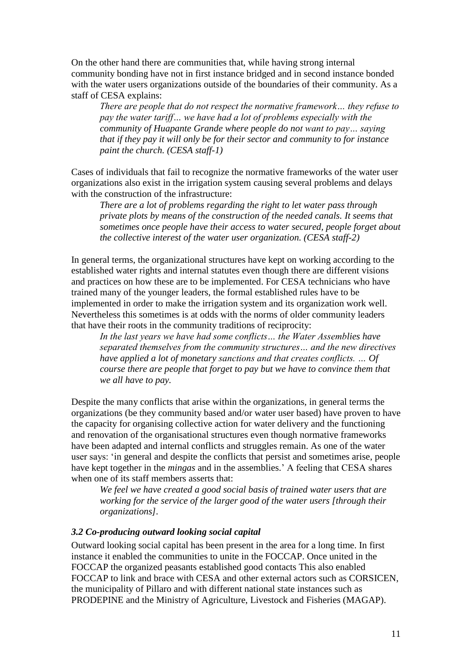On the other hand there are communities that, while having strong internal community bonding have not in first instance bridged and in second instance bonded with the water users organizations outside of the boundaries of their community. As a staff of CESA explains:

*There are people that do not respect the normative framework… they refuse to pay the water tariff… we have had a lot of problems especially with the community of Huapante Grande where people do not want to pay… saying that if they pay it will only be for their sector and community to for instance paint the church. (CESA staff-1)*

Cases of individuals that fail to recognize the normative frameworks of the water user organizations also exist in the irrigation system causing several problems and delays with the construction of the infrastructure:

*There are a lot of problems regarding the right to let water pass through private plots by means of the construction of the needed canals. It seems that sometimes once people have their access to water secured, people forget about the collective interest of the water user organization. (CESA staff-2)*

In general terms, the organizational structures have kept on working according to the established water rights and internal statutes even though there are different visions and practices on how these are to be implemented. For CESA technicians who have trained many of the younger leaders, the formal established rules have to be implemented in order to make the irrigation system and its organization work well. Nevertheless this sometimes is at odds with the norms of older community leaders that have their roots in the community traditions of reciprocity:

*In the last years we have had some conflicts… the Water Assemblies have separated themselves from the community structures… and the new directives have applied a lot of monetary sanctions and that creates conflicts. … Of course there are people that forget to pay but we have to convince them that we all have to pay.*

Despite the many conflicts that arise within the organizations, in general terms the organizations (be they community based and/or water user based) have proven to have the capacity for organising collective action for water delivery and the functioning and renovation of the organisational structures even though normative frameworks have been adapted and internal conflicts and struggles remain. As one of the water user says: 'in general and despite the conflicts that persist and sometimes arise, people have kept together in the *mingas* and in the assemblies.' A feeling that CESA shares when one of its staff members asserts that:

*We feel we have created a good social basis of trained water users that are working for the service of the larger good of the water users [through their organizations].*

#### *3.2 Co-producing outward looking social capital*

Outward looking social capital has been present in the area for a long time. In first instance it enabled the communities to unite in the FOCCAP. Once united in the FOCCAP the organized peasants established good contacts This also enabled FOCCAP to link and brace with CESA and other external actors such as CORSICEN, the municipality of Pillaro and with different national state instances such as PRODEPINE and the Ministry of Agriculture, Livestock and Fisheries (MAGAP).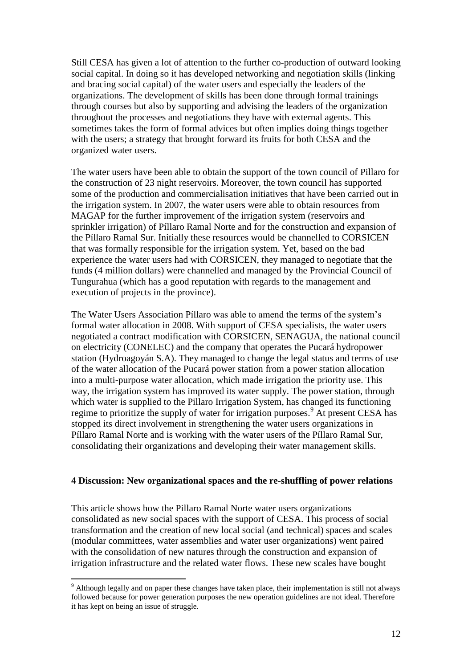Still CESA has given a lot of attention to the further co-production of outward looking social capital. In doing so it has developed networking and negotiation skills (linking and bracing social capital) of the water users and especially the leaders of the organizations. The development of skills has been done through formal trainings through courses but also by supporting and advising the leaders of the organization throughout the processes and negotiations they have with external agents. This sometimes takes the form of formal advices but often implies doing things together with the users; a strategy that brought forward its fruits for both CESA and the organized water users.

The water users have been able to obtain the support of the town council of Pillaro for the construction of 23 night reservoirs. Moreover, the town council has supported some of the production and commercialisation initiatives that have been carried out in the irrigation system. In 2007, the water users were able to obtain resources from MAGAP for the further improvement of the irrigation system (reservoirs and sprinkler irrigation) of Píllaro Ramal Norte and for the construction and expansion of the Píllaro Ramal Sur. Initially these resources would be channelled to CORSICEN that was formally responsible for the irrigation system. Yet, based on the bad experience the water users had with CORSICEN, they managed to negotiate that the funds (4 million dollars) were channelled and managed by the Provincial Council of Tungurahua (which has a good reputation with regards to the management and execution of projects in the province).

The Water Users Association Píllaro was able to amend the terms of the system's formal water allocation in 2008. With support of CESA specialists, the water users negotiated a contract modification with CORSICEN, SENAGUA, the national council on electricity (CONELEC) and the company that operates the Pucará hydropower station (Hydroagoyán S.A). They managed to change the legal status and terms of use of the water allocation of the Pucará power station from a power station allocation into a multi-purpose water allocation, which made irrigation the priority use. This way, the irrigation system has improved its water supply. The power station, through which water is supplied to the Pillaro Irrigation System, has changed its functioning regime to prioritize the supply of water for irrigation purposes.<sup>9</sup> At present CESA has stopped its direct involvement in strengthening the water users organizations in Píllaro Ramal Norte and is working with the water users of the Píllaro Ramal Sur, consolidating their organizations and developing their water management skills.

#### **4 Discussion: New organizational spaces and the re-shuffling of power relations**

This article shows how the Pillaro Ramal Norte water users organizations consolidated as new social spaces with the support of CESA. This process of social transformation and the creation of new local social (and technical) spaces and scales (modular committees, water assemblies and water user organizations) went paired with the consolidation of new natures through the construction and expansion of irrigation infrastructure and the related water flows. These new scales have bought

<sup>9</sup> Although legally and on paper these changes have taken place, their implementation is still not always followed because for power generation purposes the new operation guidelines are not ideal. Therefore it has kept on being an issue of struggle.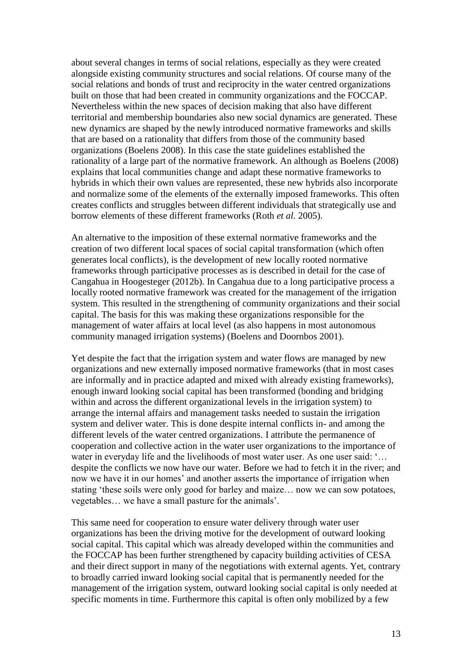about several changes in terms of social relations, especially as they were created alongside existing community structures and social relations. Of course many of the social relations and bonds of trust and reciprocity in the water centred organizations built on those that had been created in community organizations and the FOCCAP. Nevertheless within the new spaces of decision making that also have different territorial and membership boundaries also new social dynamics are generated. These new dynamics are shaped by the newly introduced normative frameworks and skills that are based on a rationality that differs from those of the community based organizations [\(Boelens 2008\)](#page-15-1). In this case the state guidelines established the rationality of a large part of the normative framework. An although as [Boelens \(2008\)](#page-15-1) explains that local communities change and adapt these normative frameworks to hybrids in which their own values are represented, these new hybrids also incorporate and normalize some of the elements of the externally imposed frameworks. This often creates conflicts and struggles between different individuals that strategically use and borrow elements of these different frameworks (Roth *et al.* [2005\)](#page-16-9).

An alternative to the imposition of these external normative frameworks and the creation of two different local spaces of social capital transformation (which often generates local conflicts), is the development of new locally rooted normative frameworks through participative processes as is described in detail for the case of Cangahua in [Hoogesteger \(2012b\)](#page-15-12). In Cangahua due to a long participative process a locally rooted normative framework was created for the management of the irrigation system. This resulted in the strengthening of community organizations and their social capital. The basis for this was making these organizations responsible for the management of water affairs at local level (as also happens in most autonomous community managed irrigation systems) [\(Boelens and Doornbos 2001\)](#page-15-7).

Yet despite the fact that the irrigation system and water flows are managed by new organizations and new externally imposed normative frameworks (that in most cases are informally and in practice adapted and mixed with already existing frameworks), enough inward looking social capital has been transformed (bonding and bridging within and across the different organizational levels in the irrigation system) to arrange the internal affairs and management tasks needed to sustain the irrigation system and deliver water. This is done despite internal conflicts in- and among the different levels of the water centred organizations. I attribute the permanence of cooperation and collective action in the water user organizations to the importance of water in everyday life and the livelihoods of most water user. As one user said: '... despite the conflicts we now have our water. Before we had to fetch it in the river; and now we have it in our homes' and another asserts the importance of irrigation when stating 'these soils were only good for barley and maize… now we can sow potatoes, vegetables… we have a small pasture for the animals'.

This same need for cooperation to ensure water delivery through water user organizations has been the driving motive for the development of outward looking social capital. This capital which was already developed within the communities and the FOCCAP has been further strengthened by capacity building activities of CESA and their direct support in many of the negotiations with external agents. Yet, contrary to broadly carried inward looking social capital that is permanently needed for the management of the irrigation system, outward looking social capital is only needed at specific moments in time. Furthermore this capital is often only mobilized by a few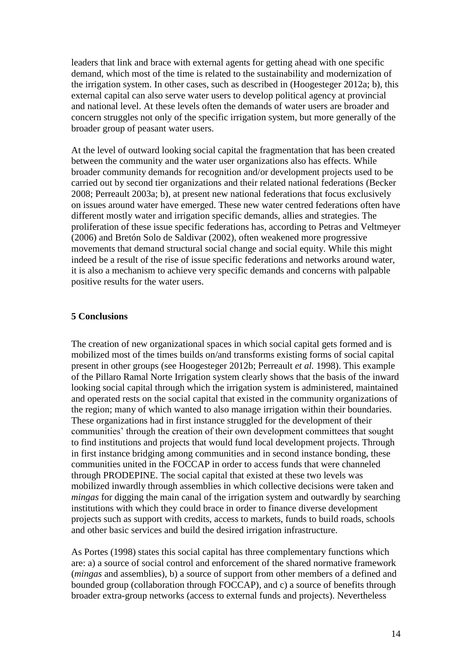leaders that link and brace with external agents for getting ahead with one specific demand, which most of the time is related to the sustainability and modernization of the irrigation system. In other cases, such as described in [\(Hoogesteger 2012a;](#page-15-0) [b\)](#page-15-12), this external capital can also serve water users to develop political agency at provincial and national level. At these levels often the demands of water users are broader and concern struggles not only of the specific irrigation system, but more generally of the broader group of peasant water users.

At the level of outward looking social capital the fragmentation that has been created between the community and the water user organizations also has effects. While broader community demands for recognition and/or development projects used to be carried out by second tier organizations and their related national federations [\(Becker](#page-15-13)  [2008;](#page-15-13) [Perreault 2003a;](#page-16-10) [b\)](#page-16-11), at present new national federations that focus exclusively on issues around water have emerged. These new water centred federations often have different mostly water and irrigation specific demands, allies and strategies. The proliferation of these issue specific federations has, according to [Petras and Veltmeyer](#page-16-12)  [\(2006\)](#page-16-12) and [Bretón Solo de Saldivar \(2002\)](#page-15-14), often weakened more progressive movements that demand structural social change and social equity. While this might indeed be a result of the rise of issue specific federations and networks around water, it is also a mechanism to achieve very specific demands and concerns with palpable positive results for the water users.

#### **5 Conclusions**

The creation of new organizational spaces in which social capital gets formed and is mobilized most of the times builds on/and transforms existing forms of social capital present in other groups (see [Hoogesteger 2012b;](#page-15-12) [Perreault](#page-16-1) *et al.* 1998). This example of the Pillaro Ramal Norte Irrigation system clearly shows that the basis of the inward looking social capital through which the irrigation system is administered, maintained and operated rests on the social capital that existed in the community organizations of the region; many of which wanted to also manage irrigation within their boundaries. These organizations had in first instance struggled for the development of their communities' through the creation of their own development committees that sought to find institutions and projects that would fund local development projects. Through in first instance bridging among communities and in second instance bonding, these communities united in the FOCCAP in order to access funds that were channeled through PRODEPINE. The social capital that existed at these two levels was mobilized inwardly through assemblies in which collective decisions were taken and *mingas* for digging the main canal of the irrigation system and outwardly by searching institutions with which they could brace in order to finance diverse development projects such as support with credits, access to markets, funds to build roads, schools and other basic services and build the desired irrigation infrastructure.

As [Portes \(1998\)](#page-16-2) states this social capital has three complementary functions which are: a) a source of social control and enforcement of the shared normative framework (*mingas* and assemblies), b) a source of support from other members of a defined and bounded group (collaboration through FOCCAP), and c) a source of benefits through broader extra-group networks (access to external funds and projects). Nevertheless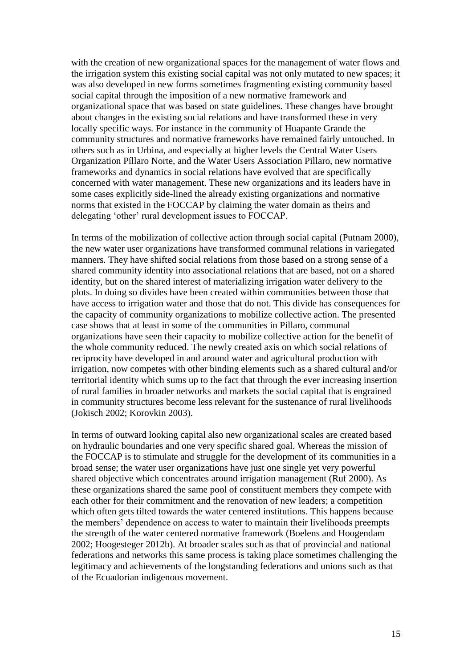with the creation of new organizational spaces for the management of water flows and the irrigation system this existing social capital was not only mutated to new spaces; it was also developed in new forms sometimes fragmenting existing community based social capital through the imposition of a new normative framework and organizational space that was based on state guidelines. These changes have brought about changes in the existing social relations and have transformed these in very locally specific ways. For instance in the community of Huapante Grande the community structures and normative frameworks have remained fairly untouched. In others such as in Urbina, and especially at higher levels the Central Water Users Organization Píllaro Norte, and the Water Users Association Pillaro, new normative frameworks and dynamics in social relations have evolved that are specifically concerned with water management. These new organizations and its leaders have in some cases explicitly side-lined the already existing organizations and normative norms that existed in the FOCCAP by claiming the water domain as theirs and delegating 'other' rural development issues to FOCCAP.

In terms of the mobilization of collective action through social capital [\(Putnam 2000\)](#page-16-13), the new water user organizations have transformed communal relations in variegated manners. They have shifted social relations from those based on a strong sense of a shared community identity into associational relations that are based, not on a shared identity, but on the shared interest of materializing irrigation water delivery to the plots. In doing so divides have been created within communities between those that have access to irrigation water and those that do not. This divide has consequences for the capacity of community organizations to mobilize collective action. The presented case shows that at least in some of the communities in Pillaro, communal organizations have seen their capacity to mobilize collective action for the benefit of the whole community reduced. The newly created axis on which social relations of reciprocity have developed in and around water and agricultural production with irrigation, now competes with other binding elements such as a shared cultural and/or territorial identity which sums up to the fact that through the ever increasing insertion of rural families in broader networks and markets the social capital that is engrained in community structures become less relevant for the sustenance of rural livelihoods [\(Jokisch 2002;](#page-16-6) [Korovkin 2003\)](#page-16-14).

In terms of outward looking capital also new organizational scales are created based on hydraulic boundaries and one very specific shared goal. Whereas the mission of the FOCCAP is to stimulate and struggle for the development of its communities in a broad sense; the water user organizations have just one single yet very powerful shared objective which concentrates around irrigation management [\(Ruf 2000\)](#page-16-15). As these organizations shared the same pool of constituent members they compete with each other for their commitment and the renovation of new leaders; a competition which often gets tilted towards the water centered institutions. This happens because the members' dependence on access to water to maintain their livelihoods preempts the strength of the water centered normative framework [\(Boelens and Hoogendam](#page-15-15)  [2002;](#page-15-15) [Hoogesteger 2012b\)](#page-15-12). At broader scales such as that of provincial and national federations and networks this same process is taking place sometimes challenging the legitimacy and achievements of the longstanding federations and unions such as that of the Ecuadorian indigenous movement.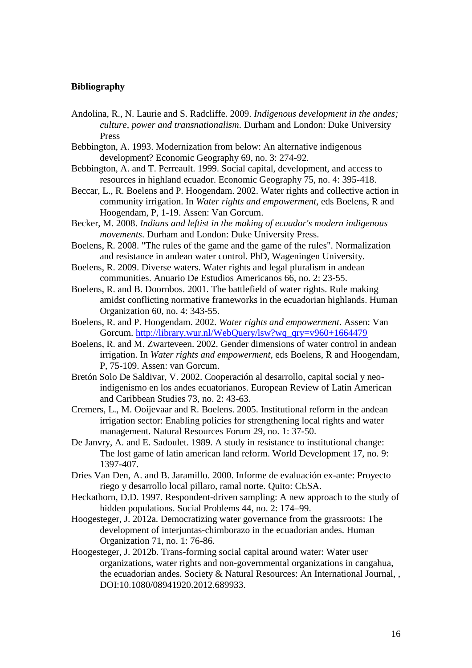#### **Bibliography**

- Andolina, R., N. Laurie and S. Radcliffe. 2009. *Indigenous development in the andes; culture, power and transnationalism*. Durham and London: Duke University Press
- <span id="page-15-4"></span>Bebbington, A. 1993. Modernization from below: An alternative indigenous development? Economic Geography 69, no. 3: 274-92.
- <span id="page-15-3"></span>Bebbington, A. and T. Perreault. 1999. Social capital, development, and access to resources in highland ecuador. Economic Geography 75, no. 4: 395-418.
- <span id="page-15-6"></span>Beccar, L., R. Boelens and P. Hoogendam. 2002. Water rights and collective action in community irrigation. In *Water rights and empowerment*, eds Boelens, R and Hoogendam, P, 1-19. Assen: Van Gorcum.
- <span id="page-15-13"></span>Becker, M. 2008. *Indians and leftist in the making of ecuador's modern indigenous movements*. Durham and London: Duke University Press.
- <span id="page-15-1"></span>Boelens, R. 2008. "The rules of the game and the game of the rules". Normalization and resistance in andean water control. PhD, Wageningen University.
- <span id="page-15-8"></span>Boelens, R. 2009. Diverse waters. Water rights and legal pluralism in andean communities. Anuario De Estudios Americanos 66, no. 2: 23-55.
- <span id="page-15-7"></span>Boelens, R. and B. Doornbos. 2001. The battlefield of water rights. Rule making amidst conflicting normative frameworks in the ecuadorian highlands. Human Organization 60, no. 4: 343-55.
- <span id="page-15-15"></span>Boelens, R. and P. Hoogendam. 2002. *Water rights and empowerment*. Assen: Van Gorcum. [http://library.wur.nl/WebQuery/lsw?wq\\_qry=v960+1664479](http://library.wur.nl/WebQuery/lsw?wq_qry=v960+1664479)
- <span id="page-15-5"></span>Boelens, R. and M. Zwarteveen. 2002. Gender dimensions of water control in andean irrigation. In *Water rights and empowerment*, eds Boelens, R and Hoogendam, P, 75-109. Assen: van Gorcum.
- <span id="page-15-14"></span>Bretón Solo De Saldivar, V. 2002. Cooperación al desarrollo, capital social y neoindigenismo en los andes ecuatorianos. European Review of Latin American and Caribbean Studies 73, no. 2: 43-63.
- <span id="page-15-9"></span>Cremers, L., M. Ooijevaar and R. Boelens. 2005. Institutional reform in the andean irrigation sector: Enabling policies for strengthening local rights and water management. Natural Resources Forum 29, no. 1: 37-50.
- <span id="page-15-10"></span>De Janvry, A. and E. Sadoulet. 1989. A study in resistance to institutional change: The lost game of latin american land reform. World Development 17, no. 9: 1397-407.
- <span id="page-15-11"></span>Dries Van Den, A. and B. Jaramillo. 2000. Informe de evaluación ex-ante: Proyecto riego y desarrollo local pillaro, ramal norte. Quito: CESA.
- <span id="page-15-2"></span>Heckathorn, D.D. 1997. Respondent-driven sampling: A new approach to the study of hidden populations. Social Problems 44, no. 2: 174–99.
- <span id="page-15-0"></span>Hoogesteger, J. 2012a. Democratizing water governance from the grassroots: The development of interjuntas-chimborazo in the ecuadorian andes. Human Organization 71, no. 1: 76-86.
- <span id="page-15-12"></span>Hoogesteger, J. 2012b. Trans-forming social capital around water: Water user organizations, water rights and non-governmental organizations in cangahua, the ecuadorian andes. Society & Natural Resources: An International Journal, , DOI:10.1080/08941920.2012.689933.